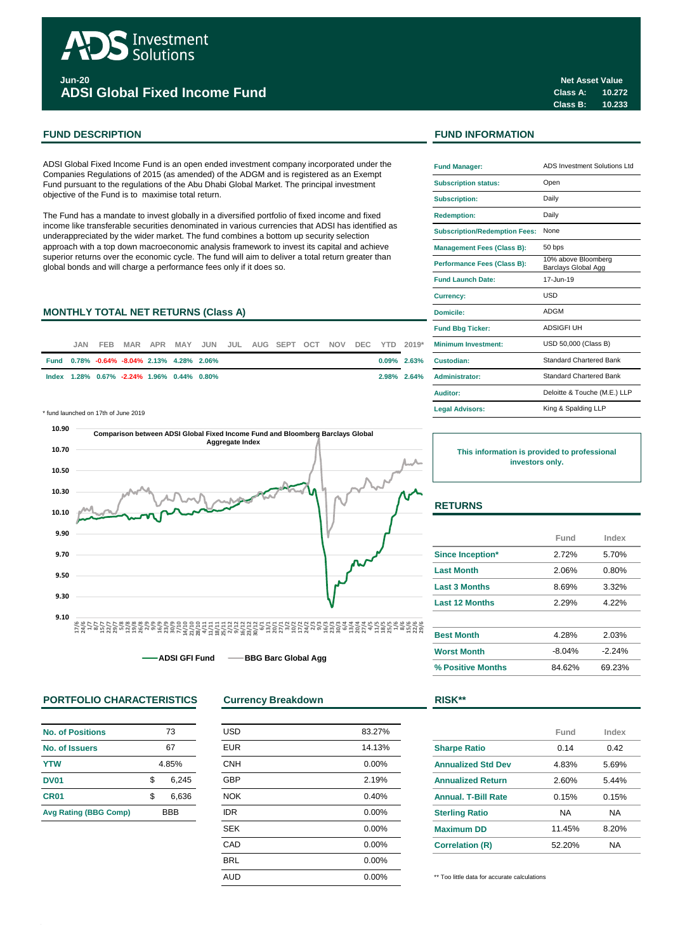

**Jun-20 ADSI Global Fixed Income Fund**

## **FUND DESCRIPTION FUND INFORMATION**

ADSI Global Fixed Income Fund is an open ended investment company incorporated under the Companies Regulations of 2015 (as amended) of the ADGM and is registered as an Exempt Fund pursuant to the regulations of the Abu Dhabi Global Market. The principal investment objective of the Fund is to maximise total return.

The Fund has a mandate to invest globally in a diversified portfolio of fixed income and fixed income like transferable securities denominated in various currencies that ADSI has identified as underappreciated by the wider market. The fund combines a bottom up security selection approach with a top down macroeconomic analysis framework to invest its capital and achieve superior returns over the economic cycle. The fund will aim to deliver a total return greater than global bonds and will charge a performance fees only if it does so.

# **MONTHLY TOTAL NET RETURNS (Class A)**

| JAN. |                                            |  |  |  |  |  | MAR APR MAY JUN JUL AUG SEPT OCT NOV DEC YTD 2019* | <b>Minimum Investment:</b> |
|------|--------------------------------------------|--|--|--|--|--|----------------------------------------------------|----------------------------|
|      | Fund 0.78% -0.64% -8.04% 2.13% 4.28% 2.06% |  |  |  |  |  |                                                    | 0.09% 2.63% Custodian:     |
|      | lndex 1.28% 0.67% -2.24% 1.96% 0.44% 0.80% |  |  |  |  |  |                                                    | 2.98% 2.64% Administrator: |

\* fund launched on 17th of June 2019 **Legal Advisors:**



**ADSI GFI Fund • BBG Barc Global Agg** 

## **PORTFOLIO CHARACTERISTICS Currency Breakdown RISK\*\***

| No. of Positions             | 73    |            |  |
|------------------------------|-------|------------|--|
| No. of Issuers               |       | 67         |  |
| <b>YTW</b>                   | 4.85% |            |  |
| <b>DV01</b>                  | \$    | 6,245      |  |
| CR <sub>01</sub>             | \$    | 6,636      |  |
| <b>Avg Rating (BBG Comp)</b> |       | <b>BBB</b> |  |

| <b>USD</b> | 83.27% |
|------------|--------|
| <b>EUR</b> | 14.13% |
| <b>CNH</b> | 0.00%  |
| <b>GBP</b> | 2.19%  |
| <b>NOK</b> | 0.40%  |
| <b>IDR</b> | 0.00%  |
| <b>SEK</b> | 0.00%  |
| CAD        | 0.00%  |
| <b>BRL</b> | 0.00%  |
| <b>AUD</b> | 0.00%  |
|            |        |

| <b>Fund Manager:</b>                 | ADS Investment Solutions Ltd               |
|--------------------------------------|--------------------------------------------|
| <b>Subscription status:</b>          | Open                                       |
| <b>Subscription:</b>                 | Daily                                      |
| <b>Redemption:</b>                   | Daily                                      |
| <b>Subscription/Redemption Fees:</b> | None                                       |
| <b>Management Fees (Class B):</b>    | 50 bps                                     |
| Performance Fees (Class B):          | 10% above Bloomberg<br>Barclays Global Agg |
| <b>Fund Launch Date:</b>             | 17-Jun-19                                  |
| <b>Currency:</b>                     | USD                                        |
| Domicile:                            | <b>ADGM</b>                                |
| <b>Fund Bbg Ticker:</b>              | ADSIGFI UH                                 |
| Minimum Investment:                  | USD 50,000 (Class B)                       |
| Custodian:                           | Standard Chartered Bank                    |
| <b>Administrator:</b>                | <b>Standard Chartered Bank</b>             |
| Auditor:                             | Deloitte & Touche (M.E.) LLP               |
| <b>Legal Advisors:</b>               | King & Spalding LLP                        |

**This information is provided to professional investors only.**

## **RETURNS**

|                         | Fund     | Index    |  |
|-------------------------|----------|----------|--|
| <b>Since Inception*</b> | 2.72%    | 5.70%    |  |
| <b>Last Month</b>       | 2.06%    | 0.80%    |  |
| <b>Last 3 Months</b>    | 8.69%    | 3.32%    |  |
| <b>Last 12 Months</b>   | 2.29%    | 4.22%    |  |
|                         |          |          |  |
| <b>Best Month</b>       | 4.28%    | 2.03%    |  |
| <b>Worst Month</b>      | $-8.04%$ | $-2.24%$ |  |
| % Positive Months       | 84.62%   | 69.23%   |  |

|                            | Fund      | Index |
|----------------------------|-----------|-------|
| <b>Sharpe Ratio</b>        | 0.14      | 0.42  |
| <b>Annualized Std Dev</b>  | 4.83%     | 5.69% |
| <b>Annualized Return</b>   | 2.60%     | 5.44% |
| <b>Annual, T-Bill Rate</b> | 0.15%     | 0.15% |
| <b>Sterling Ratio</b>      | <b>NA</b> | NA    |
| <b>Maximum DD</b>          | 11.45%    | 8.20% |
| <b>Correlation (R)</b>     | 52.20%    | NA    |

\*\* Too little data for accurate calculations